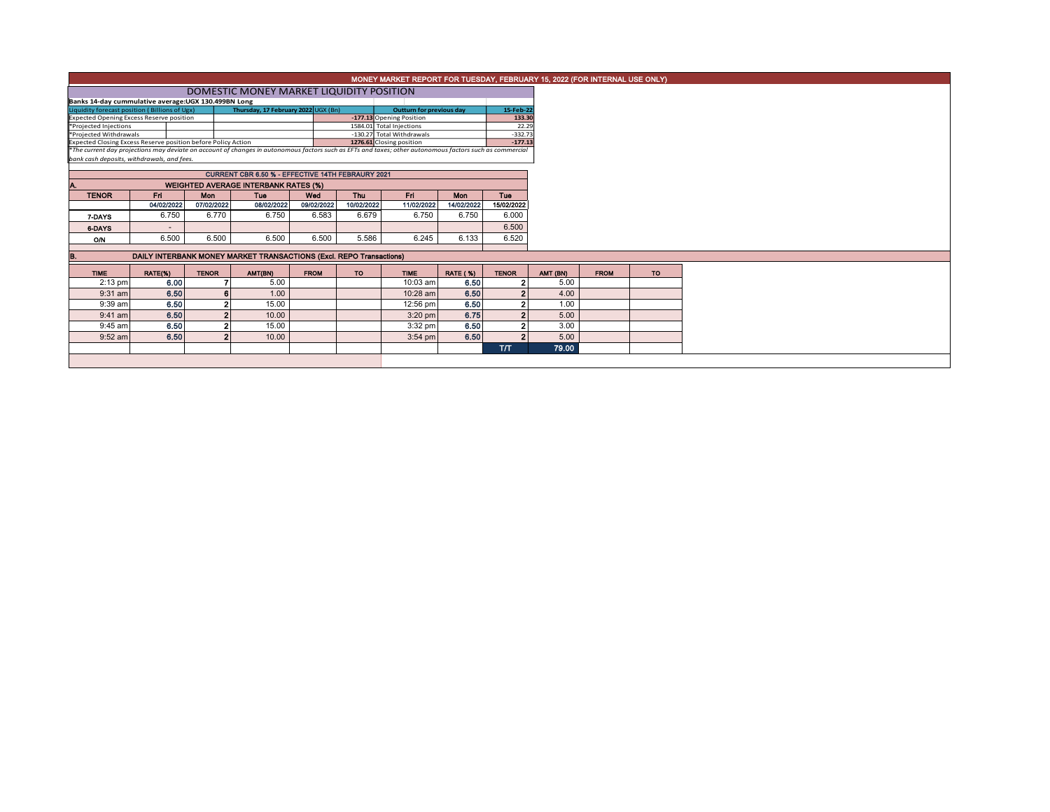|                                                                                                                                                          |                                             |              |                                                                     |             |            |                                 |                 |                |  |          | MONEY MARKET REPORT FOR TUESDAY, FEBRUARY 15, 2022 (FOR INTERNAL USE ONLY) |  |  |
|----------------------------------------------------------------------------------------------------------------------------------------------------------|---------------------------------------------|--------------|---------------------------------------------------------------------|-------------|------------|---------------------------------|-----------------|----------------|--|----------|----------------------------------------------------------------------------|--|--|
|                                                                                                                                                          | DOMESTIC MONEY MARKET LIQUIDITY POSITION    |              |                                                                     |             |            |                                 |                 |                |  |          |                                                                            |  |  |
| Banks 14-day cummulative average:UGX 130.499BN Long                                                                                                      |                                             |              |                                                                     |             |            |                                 |                 |                |  |          |                                                                            |  |  |
| Liquidity forecast position (Billions of Ugx)                                                                                                            |                                             |              | Thursday, 17 February 2022 UGX (Bn)                                 |             |            | <b>Outturn for previous day</b> |                 | 15-Feb-22      |  |          |                                                                            |  |  |
| <b>Expected Opening Excess Reserve position</b>                                                                                                          |                                             |              |                                                                     |             |            | -177.13 Opening Position        |                 | 133.30         |  |          |                                                                            |  |  |
| *Projected Injections                                                                                                                                    |                                             |              |                                                                     |             |            | 1584.01 Total Injections        |                 | 22.29          |  |          |                                                                            |  |  |
| *Projected Withdrawals                                                                                                                                   |                                             |              |                                                                     |             |            | -130.27 Total Withdrawals       |                 | $-332.73$      |  |          |                                                                            |  |  |
| Expected Closing Excess Reserve position before Policy Action                                                                                            |                                             |              |                                                                     |             |            | 1276.61 Closing position        |                 | $-177.13$      |  |          |                                                                            |  |  |
| *The current day projections may deviate on account of changes in autonomous factors such as EFTs and taxes; other autonomous factors such as commercial |                                             |              |                                                                     |             |            |                                 |                 |                |  |          |                                                                            |  |  |
| bank cash deposits, withdrawals, and fees.                                                                                                               |                                             |              |                                                                     |             |            |                                 |                 |                |  |          |                                                                            |  |  |
|                                                                                                                                                          |                                             |              |                                                                     |             |            |                                 |                 |                |  |          |                                                                            |  |  |
|                                                                                                                                                          |                                             |              |                                                                     |             |            |                                 |                 |                |  |          |                                                                            |  |  |
|                                                                                                                                                          | <b>WEIGHTED AVERAGE INTERBANK RATES (%)</b> |              |                                                                     |             |            |                                 |                 |                |  |          |                                                                            |  |  |
| <b>TENOR</b>                                                                                                                                             | Fri.                                        | <b>Mon</b>   | Tue                                                                 | Wed         | <b>Thu</b> | Fri .                           | <b>Mon</b>      | <b>Tue</b>     |  |          |                                                                            |  |  |
|                                                                                                                                                          | 04/02/2022                                  | 07/02/2022   | 08/02/2022                                                          | 09/02/2022  | 10/02/2022 | 11/02/2022                      | 14/02/2022      | 15/02/2022     |  |          |                                                                            |  |  |
| 7-DAYS                                                                                                                                                   | 6.750                                       | 6.770        | 6.750                                                               | 6.583       | 6.679      | 6.750                           | 6.750           | 6.000          |  |          |                                                                            |  |  |
| 6-DAYS                                                                                                                                                   |                                             |              |                                                                     |             |            |                                 |                 | 6.500          |  |          |                                                                            |  |  |
| <b>O/N</b>                                                                                                                                               | 6.500                                       | 6.500        | 6.500                                                               | 6.500       | 5.586      | 6.245                           | 6.133           | 6.520          |  |          |                                                                            |  |  |
|                                                                                                                                                          |                                             |              |                                                                     |             |            |                                 |                 |                |  |          |                                                                            |  |  |
| B.                                                                                                                                                       |                                             |              | DAILY INTERBANK MONEY MARKET TRANSACTIONS (Excl. REPO Transactions) |             |            |                                 |                 |                |  |          |                                                                            |  |  |
|                                                                                                                                                          |                                             |              |                                                                     |             |            |                                 |                 |                |  |          |                                                                            |  |  |
| <b>TIME</b>                                                                                                                                              | RATE(%)                                     | <b>TENOR</b> | AMT(BN)                                                             | <b>FROM</b> | <b>TO</b>  | <b>TIME</b>                     | <b>RATE (%)</b> | <b>TENOR</b>   |  | AMT (BN) | <b>FROM</b>                                                                |  |  |
| $2:13$ pm                                                                                                                                                | 6.00                                        |              | 5.00                                                                |             |            | 10:03 am                        | 6.50            | $\mathbf{2}$   |  | 5.00     |                                                                            |  |  |
| $9:31$ am                                                                                                                                                | 6.50                                        |              | 1.00                                                                |             |            | 10:28 am                        | 6.50            | $\overline{2}$ |  | 4.00     |                                                                            |  |  |
| 9:39 am                                                                                                                                                  | 6.50                                        |              | 15.00                                                               |             |            | 12:56 pm                        | 6.50            | $\mathbf{z}$   |  | 1.00     |                                                                            |  |  |
| $9:41$ am                                                                                                                                                | 6.50                                        |              | 10.00                                                               |             |            | $3:20$ pm                       | 6.75            | $\overline{2}$ |  | 5.00     |                                                                            |  |  |
| $9:45$ am                                                                                                                                                | 6.50                                        |              | 15.00                                                               |             |            | 3:32 pm                         | 6.50            | $\overline{2}$ |  | 3.00     |                                                                            |  |  |
| $9:52$ am                                                                                                                                                | 6.50                                        |              | 10.00                                                               |             |            | $3:54$ pm                       | 6.50            | $\overline{2}$ |  | 5.00     |                                                                            |  |  |
|                                                                                                                                                          |                                             |              |                                                                     |             |            |                                 |                 | <b>ТЛТ</b>     |  | 79.00    |                                                                            |  |  |
|                                                                                                                                                          |                                             |              |                                                                     |             |            |                                 |                 |                |  |          |                                                                            |  |  |
|                                                                                                                                                          |                                             |              |                                                                     |             |            |                                 |                 |                |  |          |                                                                            |  |  |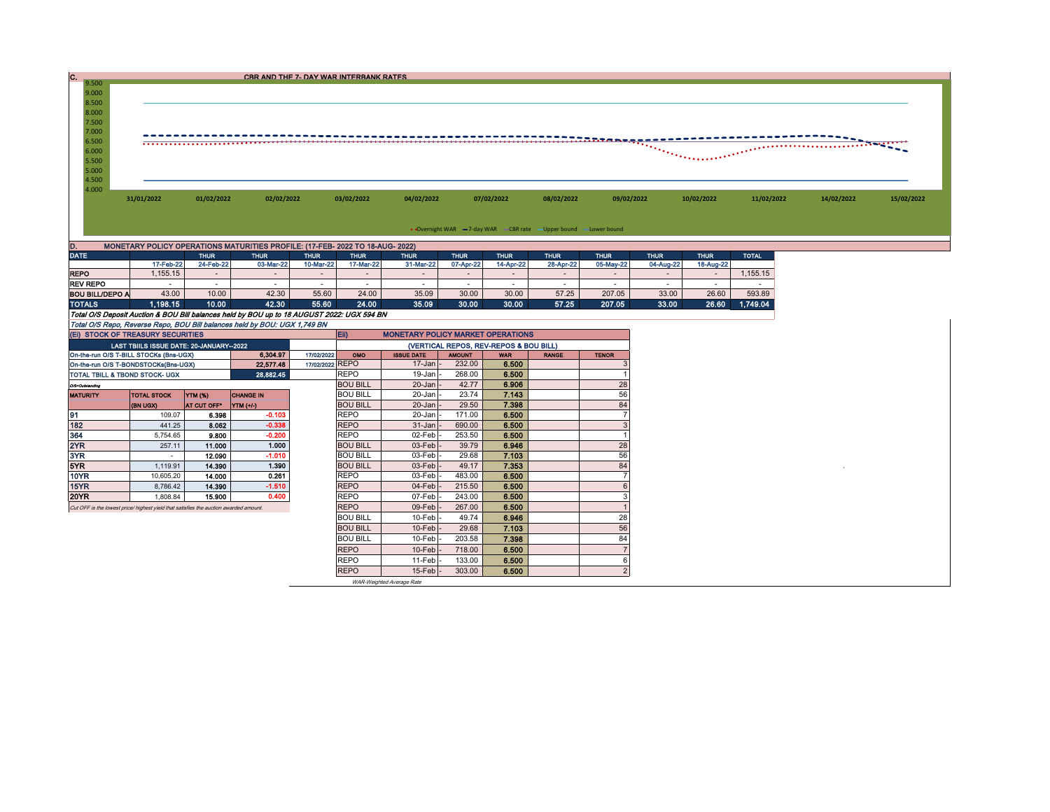| $\frac{1}{9.500}$ |            |                                       | CBR AND THE 7- DAY WAR INTERBANK RATES |            |            |            |            |                                     |            |            |            |            |
|-------------------|------------|---------------------------------------|----------------------------------------|------------|------------|------------|------------|-------------------------------------|------------|------------|------------|------------|
|                   |            |                                       |                                        |            |            |            |            |                                     |            |            |            |            |
| 9.000             |            |                                       |                                        |            |            |            |            |                                     |            |            |            |            |
| 8.500             |            |                                       |                                        |            |            |            |            |                                     |            |            |            |            |
| 8.000             |            |                                       |                                        |            |            |            |            |                                     |            |            |            |            |
| 7.500             |            |                                       |                                        |            |            |            |            |                                     |            |            |            |            |
| 7.000             |            |                                       |                                        |            |            |            |            |                                     |            |            |            |            |
| 6.500             |            | ************************************* |                                        |            |            |            |            |                                     |            |            |            |            |
| 6.000             |            |                                       |                                        |            |            |            |            | <u> Alexandria de la componenta</u> |            |            |            |            |
| 5.500             |            |                                       |                                        |            |            |            |            |                                     |            |            |            |            |
| 5.000             |            |                                       |                                        |            |            |            |            |                                     |            |            |            |            |
| 4.500             |            |                                       |                                        |            |            |            |            |                                     |            |            |            |            |
| 4.000             |            |                                       |                                        |            |            |            |            |                                     |            |            |            |            |
|                   | 31/01/2022 | 01/02/2022                            | 02/02/2022                             | 03/02/2022 | 04/02/2022 | 07/02/2022 | 08/02/2022 | 09/02/2022                          | 10/02/2022 | 11/02/2022 | 14/02/2022 | 15/02/2022 |
|                   |            |                                       |                                        |            |            |            |            |                                     |            |            |            |            |
|                   |            |                                       |                                        |            |            |            |            |                                     |            |            |            |            |

• Overnight WAR -7-day WAR CBR rate -Upper bound -Lower bound

| D.                                                                                         | MONETARY POLICY OPERATIONS MATURITIES PROFILE: (17-FEB- 2022 TO 18-AUG- 2022) |             |             |                          |             |                                          |             |             |             |             |             |             |              |  |  |
|--------------------------------------------------------------------------------------------|-------------------------------------------------------------------------------|-------------|-------------|--------------------------|-------------|------------------------------------------|-------------|-------------|-------------|-------------|-------------|-------------|--------------|--|--|
| <b>DATE</b>                                                                                |                                                                               | <b>THUR</b> | <b>THUR</b> | <b>THUR</b>              | <b>THUR</b> | <b>THUR</b>                              | <b>THUR</b> | <b>THUR</b> | <b>THUR</b> | <b>THUR</b> | <b>THUR</b> | <b>THUR</b> | <b>TOTAL</b> |  |  |
|                                                                                            | 17-Feb-22                                                                     | 24-Feb-22   | 03-Mar-22   | 10-Mar-22                | 17-Mar-22   | 31-Mar-22                                | 07-Apr-22   | 14-Apr-22   | 28-Apr-22   | 05-May-22   | 04-Aug-22   | 18-Aug-22   |              |  |  |
| <b>REPO</b>                                                                                | .155.15                                                                       |             |             | $\overline{\phantom{a}}$ |             |                                          | $\sim$      |             |             |             |             |             | .155.15      |  |  |
| <b>REV REPO</b>                                                                            |                                                                               |             |             | -                        |             |                                          |             |             |             |             |             |             |              |  |  |
| <b>BOU BILL/DEPO A</b>                                                                     | 43.00                                                                         | 10.00       | 42.30       | 55.60                    | 24.00       | 35.09                                    | 30.00       | 30.00       | 57.25       | 207.05      | 33.00       | 26.60       | 593.89       |  |  |
| <b>TOTALS</b>                                                                              | 1,198.15                                                                      | 10.00       | 42.30       | 55.60                    | 24.00       | 35.09                                    | 30.00       | 30.00       | 57.25       | 207.05      | 33.00       | 26.60       | 1.749.04     |  |  |
| Total O/S Deposit Auction & BOU Bill balances held by BOU up to 18 AUGUST 2022: UGX 594 BN |                                                                               |             |             |                          |             |                                          |             |             |             |             |             |             |              |  |  |
| Total O/S Repo, Reverse Repo, BOU Bill balances held by BOU: UGX 1,749 BN                  |                                                                               |             |             |                          |             |                                          |             |             |             |             |             |             |              |  |  |
| (EI) STOCK OF TREASURY SECURITIES                                                          |                                                                               |             |             |                          | <b>IEIP</b> | <b>MONETARY POLICY MARKET OPERATIONS</b> |             |             |             |             |             |             |              |  |  |

| (EI) STOCK OF TREASURY SECURITIES                                                     |                                         |                |                  |                 | Eii)<br><b>MONETARY POLICY MARKET OPERATIONS</b> |                           |               |            |              |                |  |  |
|---------------------------------------------------------------------------------------|-----------------------------------------|----------------|------------------|-----------------|--------------------------------------------------|---------------------------|---------------|------------|--------------|----------------|--|--|
|                                                                                       | LAST TBIILS ISSUE DATE: 20-JANUARY-2022 |                |                  |                 | (VERTICAL REPOS, REV-REPOS & BOU BILL)           |                           |               |            |              |                |  |  |
| On-the-run O/S T-BILL STOCKs (Bns-UGX)                                                |                                         |                | 6.304.97         | 17/02/2022      | OMO                                              | <b>ISSUE DATE</b>         | <b>AMOUNT</b> | <b>WAR</b> | <b>RANGE</b> | <b>TENOR</b>   |  |  |
| On-the-run O/S T-BONDSTOCKs(Bns-UGX)                                                  |                                         |                | 22.577.48        | 17/02/2022 REPO |                                                  | 17-Jan                    | 232.00        | 6.500      |              |                |  |  |
| TOTAL TBILL & TBOND STOCK- UGX                                                        |                                         |                | 28,882.45        |                 | <b>REPO</b>                                      | 19-Jan                    | 268.00        | 6.500      |              |                |  |  |
| O/S=Outstanding                                                                       |                                         |                |                  |                 | <b>BOU BILL</b>                                  | $20 - Jan$                | 42.77         | 6.906      |              | 28             |  |  |
| <b>MATURITY</b>                                                                       | <b>TOTAL STOCK</b>                      | <b>YTM (%)</b> | <b>CHANGE IN</b> |                 | <b>BOU BILL</b>                                  | 20-Jan                    | 23.74         | 7.143      |              | 56             |  |  |
|                                                                                       | (BN UGX)                                | AT CUT OFF*    | YTM (+/-)        |                 | <b>BOU BILL</b>                                  | $20 - Jan$                | 29.50         | 7.398      |              | 84             |  |  |
| 91                                                                                    | 109.07                                  | 6.398          | $-0.103$         |                 | <b>REPO</b>                                      | 20-Jan                    | 171.00        | 6.500      |              |                |  |  |
| 182                                                                                   | 441.25                                  | 8.062          | $-0.338$         |                 | <b>REPO</b>                                      | $31 - Jan$                | 690.00        | 6.500      |              |                |  |  |
| 364                                                                                   | 5.754.65                                | 9.800          | $-0.200$         |                 | <b>REPO</b>                                      | 02-Feb                    | 253.50        | 6.500      |              |                |  |  |
| 2YR                                                                                   | 257.11                                  | 11.000         | 1.000            |                 | <b>BOU BILL</b>                                  | $03$ -Feb                 | 39.79         | 6.946      |              | 28             |  |  |
| 3YR                                                                                   |                                         | 12.090         | $-1.010$         |                 | <b>BOU BILL</b>                                  | $03$ -Feb                 | 29.68         | 7.103      |              | 56             |  |  |
| 5YR.                                                                                  | 1.119.91                                | 14.390         | 1.390            |                 | <b>BOU BILL</b>                                  | $03$ -Feb                 | 49.17         | 7.353      |              | 84             |  |  |
| 10YR                                                                                  | 10.605.20                               | 14.000         | 0.261            |                 | <b>REPO</b>                                      | 03-Feb                    | 483.00        | 6.500      |              |                |  |  |
| 15YR                                                                                  | 8,786.42                                | 14.390         | $-1.510$         |                 | <b>REPO</b>                                      | $04$ -Feb                 | 215.50        | 6.500      |              | 6              |  |  |
| 20YR                                                                                  | 1.808.84                                | 15.900         | 0.400            |                 | <b>REPO</b>                                      | 07-Feb                    | 243.00        | 6.500      |              |                |  |  |
| Cut OFF is the lowest price/ highest yield that satisfies the auction awarded amount. |                                         |                |                  |                 | <b>REPO</b>                                      | 09-Feb                    | 267.00        | 6.500      |              |                |  |  |
|                                                                                       |                                         |                |                  |                 | <b>BOU BILL</b>                                  | $10$ -Feb                 | 49.74         | 6.946      |              | 28             |  |  |
|                                                                                       |                                         |                |                  |                 | <b>BOU BILL</b>                                  | $10$ -Feb                 | 29.68         | 7.103      |              | 56             |  |  |
|                                                                                       |                                         |                |                  |                 | <b>BOU BILL</b>                                  | $10$ -Feb                 | 203.58        | 7.398      |              | 84             |  |  |
|                                                                                       |                                         |                |                  |                 | <b>REPO</b>                                      | $10$ -Feb                 | 718.00        | 6.500      |              |                |  |  |
|                                                                                       |                                         |                |                  |                 | <b>REPO</b>                                      | $11-Feb$                  | 133.00        | 6.500      |              | 6              |  |  |
|                                                                                       |                                         |                |                  |                 | <b>REPO</b>                                      | $15$ -Feb $\vert$ -       | 303.00        | 6.500      |              | $\overline{2}$ |  |  |
|                                                                                       |                                         |                |                  |                 |                                                  | WAR-Weighted Average Rate |               |            |              |                |  |  |